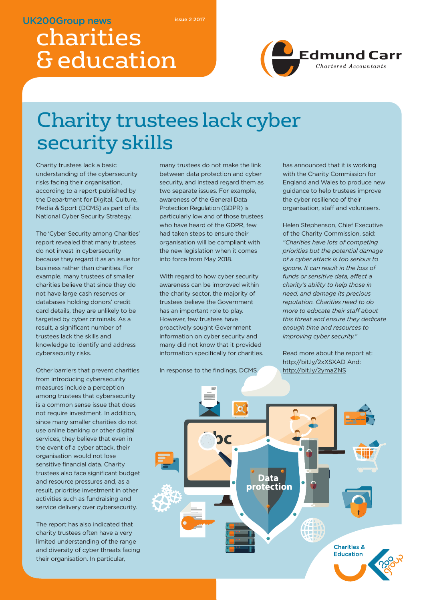### **UK200Group news**

**issue 2 2017**

# charities & education



# Charity trustees lack cyber security skills

Charity trustees lack a basic understanding of the cybersecurity risks facing their organisation, according to a report published by the Department for Digital, Culture, Media & Sport (DCMS) as part of its National Cyber Security Strategy.

The 'Cyber Security among Charities' report revealed that many trustees do not invest in cybersecurity because they regard it as an issue for business rather than charities. For example, many trustees of smaller charities believe that since they do not have large cash reserves or databases holding donors' credit card details, they are unlikely to be targeted by cyber criminals. As a result, a significant number of trustees lack the skills and knowledge to identify and address cybersecurity risks.

Other barriers that prevent charities from introducing cybersecurity measures include a perception among trustees that cybersecurity is a common sense issue that does not require investment. In addition, since many smaller charities do not use online banking or other digital services, they believe that even in the event of a cyber attack, their organisation would not lose sensitive financial data. Charity trustees also face significant budget and resource pressures and, as a result, prioritise investment in other activities such as fundraising and service delivery over cybersecurity.

The report has also indicated that charity trustees often have a very limited understanding of the range and diversity of cyber threats facing their organisation. In particular,

many trustees do not make the link between data protection and cyber security, and instead regard them as two separate issues. For example, awareness of the General Data Protection Regulation (GDPR) is particularly low and of those trustees who have heard of the GDPR, few had taken steps to ensure their organisation will be compliant with the new legislation when it comes into force from May 2018.

With regard to how cyber security awareness can be improved within the charity sector, the majority of trustees believe the Government has an important role to play. However, few trustees have proactively sought Government information on cyber security and many did not know that it provided information specifically for charities.

In response to the findings, DCMS

has announced that it is working with the Charity Commission for England and Wales to produce new guidance to help trustees improve the cyber resilience of their organisation, staff and volunteers.

Helen Stephenson, Chief Executive of the Charity Commission, said: *"Charities have lots of competing priorities but the potential damage of a cyber attack is too serious to ignore. It can result in the loss of funds or sensitive data, affect a charity's ability to help those in need, and damage its precious reputation. Charities need to do more to educate their staff about this threat and ensure they dedicate enough time and resources to improving cyber security."*

Read more about the report at: http://bit.ly/2xXSXAD And: http://bit.ly/2ymaZNS

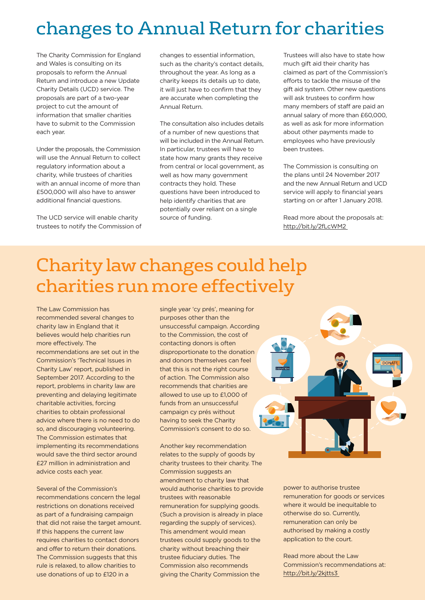## changes to Annual Return for charities

The Charity Commission for England and Wales is consulting on its proposals to reform the Annual Return and introduce a new Update Charity Details (UCD) service. The proposals are part of a two-year project to cut the amount of information that smaller charities have to submit to the Commission each year.

Under the proposals, the Commission will use the Annual Return to collect regulatory information about a charity, while trustees of charities with an annual income of more than £500,000 will also have to answer additional financial questions.

The UCD service will enable charity trustees to notify the Commission of changes to essential information, such as the charity's contact details, throughout the year. As long as a charity keeps its details up to date, it will just have to confirm that they are accurate when completing the Annual Return.

The consultation also includes details of a number of new questions that will be included in the Annual Return. In particular, trustees will have to state how many grants they receive from central or local government, as well as how many government contracts they hold. These questions have been introduced to help identify charities that are potentially over reliant on a single source of funding.

Trustees will also have to state how much gift aid their charity has claimed as part of the Commission's efforts to tackle the misuse of the gift aid system. Other new questions will ask trustees to confirm how many members of staff are paid an annual salary of more than £60,000, as well as ask for more information about other payments made to employees who have previously been trustees.

The Commission is consulting on the plans until 24 November 2017 and the new Annual Return and UCD service will apply to financial years starting on or after 1 January 2018.

Read more about the proposals at: http://bit.ly/2fLcWM2

## Charity law changes could help charities run more effectively

The Law Commission has recommended several changes to charity law in England that it believes would help charities run more effectively. The recommendations are set out in the Commission's 'Technical Issues in Charity Law' report, published in September 2017. According to the report, problems in charity law are preventing and delaying legitimate charitable activities, forcing charities to obtain professional advice where there is no need to do so, and discouraging volunteering. The Commission estimates that implementing its recommendations would save the third sector around £27 million in administration and advice costs each year.

Several of the Commission's recommendations concern the legal restrictions on donations received as part of a fundraising campaign that did not raise the target amount. If this happens the current law requires charities to contact donors and offer to return their donations. The Commission suggests that this rule is relaxed, to allow charities to use donations of up to £120 in a

single year 'cy prés', meaning for purposes other than the unsuccessful campaign. According to the Commission, the cost of contacting donors is often disproportionate to the donation and donors themselves can feel that this is not the right course of action. The Commission also recommends that charities are allowed to use up to £1,000 of funds from an unsuccessful campaign cy prés without having to seek the Charity Commission's consent to do so.

Another key recommendation relates to the supply of goods by charity trustees to their charity. The Commission suggests an amendment to charity law that would authorise charities to provide trustees with reasonable remuneration for supplying goods. (Such a provision is already in place regarding the supply of services). This amendment would mean trustees could supply goods to the charity without breaching their trustee fiduciary duties. The Commission also recommends giving the Charity Commission the



power to authorise trustee remuneration for goods or services where it would be inequitable to otherwise do so. Currently, remuneration can only be authorised by making a costly application to the court.

Read more about the Law Commission's recommendations at: http://bit.ly/2kjtts3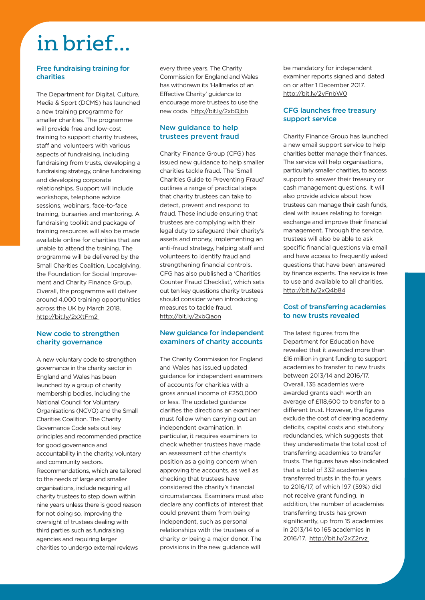# in brief...

#### **Free fundraising training for charities**

The Department for Digital, Culture, Media & Sport (DCMS) has launched a new training programme for smaller charities. The programme will provide free and low-cost training to support charity trustees, staff and volunteers with various aspects of fundraising, including fundraising from trusts, developing a fundraising strategy, online fundraising and developing corporate relationships. Support will include workshops, telephone advice sessions, webinars, face-to-face training, bursaries and mentoring. A fundraising toolkit and package of training resources will also be made available online for charities that are unable to attend the training. The programme will be delivered by the Small Charities Coalition, Localgiving, the Foundation for Social Improvement and Charity Finance Group. Overall, the programme will deliver around 4,000 training opportunities across the UK by March 2018. http://bit.ly/2xXtFm2

#### **New code to strengthen charity governance**

A new voluntary code to strengthen governance in the charity sector in England and Wales has been launched by a group of charity membership bodies, including the National Council for Voluntary Organisations (NCVO) and the Small Charities Coalition. The Charity Governance Code sets out key principles and recommended practice for good governance and accountability in the charity, voluntary and community sectors. Recommendations, which are tailored to the needs of large and smaller organisations, include requiring all charity trustees to step down within nine years unless there is good reason for not doing so, improving the oversight of trustees dealing with third parties such as fundraising agencies and requiring larger charities to undergo external reviews

every three years. The Charity Commission for England and Wales has withdrawn its 'Hallmarks of an Effective Charity' guidance to encourage more trustees to use the new code. http://bit.ly/2xbQjbh

#### **New guidance to help trustees prevent fraud**

Charity Finance Group (CFG) has issued new guidance to help smaller charities tackle fraud. The 'Small Charities Guide to Preventing Fraud' outlines a range of practical steps that charity trustees can take to detect, prevent and respond to fraud. These include ensuring that trustees are complying with their legal duty to safeguard their charity's assets and money, implementing an anti-fraud strategy, helping staff and volunteers to identify fraud and strengthening financial controls. CFG has also published a 'Charities Counter Fraud Checklist', which sets out ten key questions charity trustees should consider when introducing measures to tackle fraud. http://bit.ly/2xbQaon

#### **New guidance for independent examiners of charity accounts**

The Charity Commission for England and Wales has issued updated guidance for independent examiners of accounts for charities with a gross annual income of £250,000 or less. The updated guidance clarifies the directions an examiner must follow when carrying out an independent examination. In particular, it requires examiners to check whether trustees have made an assessment of the charity's position as a going concern when approving the accounts, as well as checking that trustees have considered the charity's financial circumstances. Examiners must also declare any conflicts of interest that could prevent them from being independent, such as personal relationships with the trustees of a charity or being a major donor. The provisions in the new guidance will

be mandatory for independent examiner reports signed and dated on or after 1 December 2017. http://bit.ly/2yFnbW0

#### **CFG launches free treasury support service**

Charity Finance Group has launched a new email support service to help charities better manage their finances. The service will help organisations, particularly smaller charities, to access support to answer their treasury or cash management questions. It will also provide advice about how trustees can manage their cash funds, deal with issues relating to foreign exchange and improve their financial management. Through the service, trustees will also be able to ask specific financial questions via email and have access to frequently asked questions that have been answered by finance experts. The service is free to use and available to all charities. http://bit.ly/2xQ4b84

#### **Cost of transferring academies to new trusts revealed**

The latest figures from the Department for Education have revealed that it awarded more than £16 million in grant funding to support academies to transfer to new trusts between 2013/14 and 2016/17. Overall, 135 academies were awarded grants each worth an average of £118,600 to transfer to a different trust. However, the figures exclude the cost of clearing academy deficits, capital costs and statutory redundancies, which suggests that they underestimate the total cost of transferring academies to transfer trusts. The figures have also indicated that a total of 332 academies transferred trusts in the four years to 2016/17, of which 197 (59%) did not receive grant funding. In addition, the number of academies transferring trusts has grown significantly, up from 15 academies in 2013/14 to 165 academies in 2016/17. http://bit.ly/2xZ2rvz